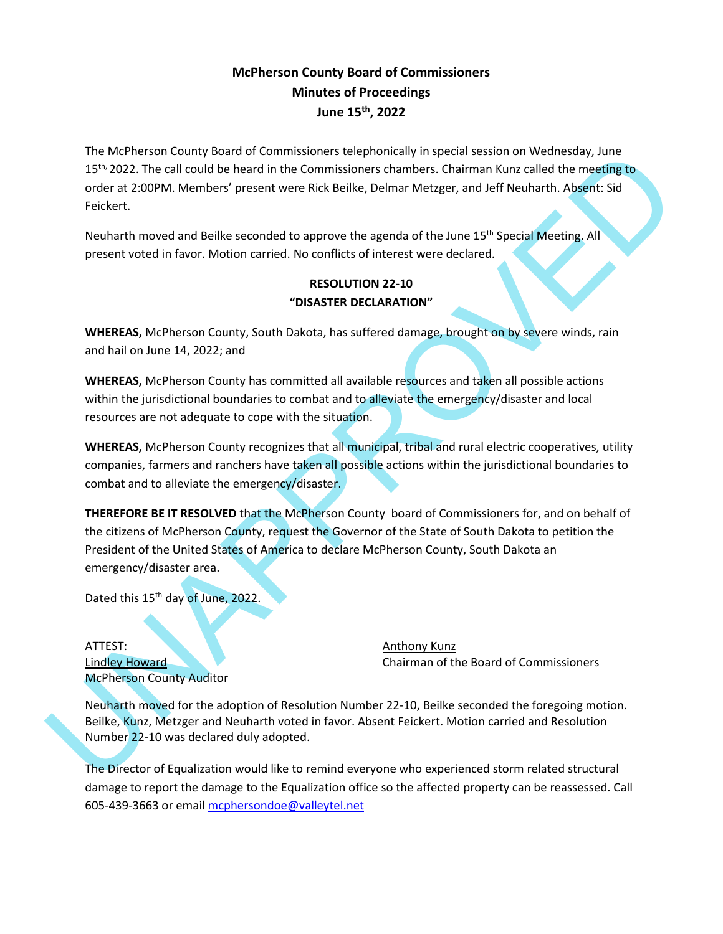## **McPherson County Board of Commissioners Minutes of Proceedings June 15th , 2022**

The McPherson County Board of Commissioners telephonically in special session on Wednesday, June 15<sup>th,</sup> 2022. The call could be heard in the Commissioners chambers. Chairman Kunz called the meeting to order at 2:00PM. Members' present were Rick Beilke, Delmar Metzger, and Jeff Neuharth. Absent: Sid Feickert.

Neuharth moved and Beilke seconded to approve the agenda of the June 15<sup>th</sup> Special Meeting. All present voted in favor. Motion carried. No conflicts of interest were declared.

## **RESOLUTION 22-10 "DISASTER DECLARATION"**

**WHEREAS,** McPherson County, South Dakota, has suffered damage, brought on by severe winds, rain and hail on June 14, 2022; and

**WHEREAS,** McPherson County has committed all available resources and taken all possible actions within the jurisdictional boundaries to combat and to alleviate the emergency/disaster and local resources are not adequate to cope with the situation.

**WHEREAS,** McPherson County recognizes that all municipal, tribal and rural electric cooperatives, utility companies, farmers and ranchers have taken all possible actions within the jurisdictional boundaries to combat and to alleviate the emergency/disaster.

The Michaelson County Board of Commissioners the<br>phonologiky in special section of Weindows 100 and the Board and the School of Weindows Charges Continue the mediation<br>order at 200 PM. Members' present were Rick Beilke, De **THEREFORE BE IT RESOLVED** that the McPherson County board of Commissioners for, and on behalf of the citizens of McPherson County, request the Governor of the State of South Dakota to petition the President of the United States of America to declare McPherson County, South Dakota an emergency/disaster area.

Dated this 15<sup>th</sup> day of June, 2022.

ATTEST: ANTEST: ANTEST: McPherson County Auditor

Lindley Howard **Chairman of the Board of Commissioners** 

Neuharth moved for the adoption of Resolution Number 22-10, Beilke seconded the foregoing motion. Beilke, Kunz, Metzger and Neuharth voted in favor. Absent Feickert. Motion carried and Resolution Number 22-10 was declared duly adopted.

The Director of Equalization would like to remind everyone who experienced storm related structural damage to report the damage to the Equalization office so the affected property can be reassessed. Call 605-439-3663 or email [mcphersondoe@valleytel.net](mailto:mcphersondoe@valleytel.net)